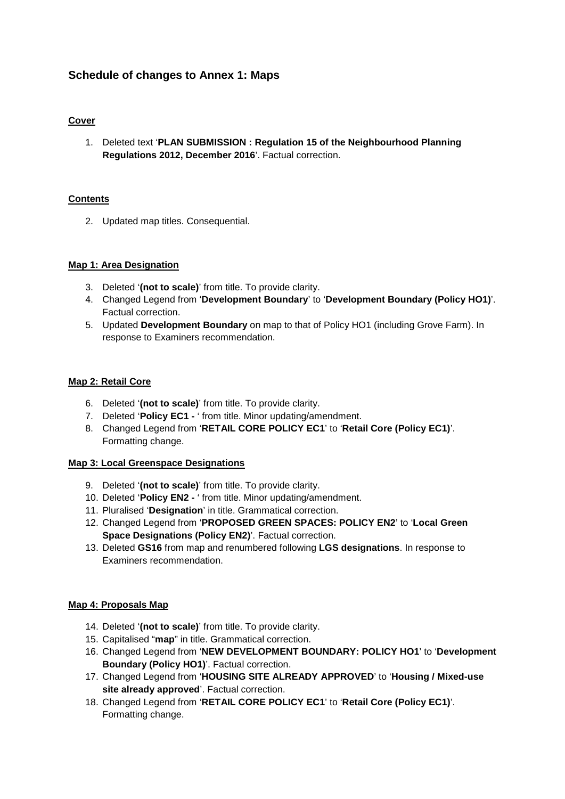# **Schedule of changes to Annex 1: Maps**

### **Cover**

1. Deleted text '**PLAN SUBMISSION : Regulation 15 of the Neighbourhood Planning Regulations 2012, December 2016**'. Factual correction.

### **Contents**

2. Updated map titles. Consequential.

### **Map 1: Area Designation**

- 3. Deleted '**(not to scale)**' from title. To provide clarity.
- 4. Changed Legend from '**Development Boundary**' to '**Development Boundary (Policy HO1)**'. Factual correction.
- 5. Updated **Development Boundary** on map to that of Policy HO1 (including Grove Farm). In response to Examiners recommendation.

### **Map 2: Retail Core**

- 6. Deleted '**(not to scale)**' from title. To provide clarity.
- 7. Deleted '**Policy EC1 -** ' from title. Minor updating/amendment.
- 8. Changed Legend from '**RETAIL CORE POLICY EC1**' to '**Retail Core (Policy EC1)**'. Formatting change.

### **Map 3: Local Greenspace Designations**

- 9. Deleted '**(not to scale)**' from title. To provide clarity.
- 10. Deleted '**Policy EN2 -** ' from title. Minor updating/amendment.
- 11. Pluralised '**Designation**' in title. Grammatical correction.
- 12. Changed Legend from '**PROPOSED GREEN SPACES: POLICY EN2**' to '**Local Green Space Designations (Policy EN2)**'. Factual correction.
- 13. Deleted **GS16** from map and renumbered following **LGS designations**. In response to Examiners recommendation.

# **Map 4: Proposals Map**

- 14. Deleted '**(not to scale)**' from title. To provide clarity.
- 15. Capitalised "**map**" in title. Grammatical correction.
- 16. Changed Legend from '**NEW DEVELOPMENT BOUNDARY: POLICY HO1**' to '**Development Boundary (Policy HO1)**'. Factual correction.
- 17. Changed Legend from '**HOUSING SITE ALREADY APPROVED**' to '**Housing / Mixed-use site already approved**'. Factual correction.
- 18. Changed Legend from '**RETAIL CORE POLICY EC1**' to '**Retail Core (Policy EC1)**'. Formatting change.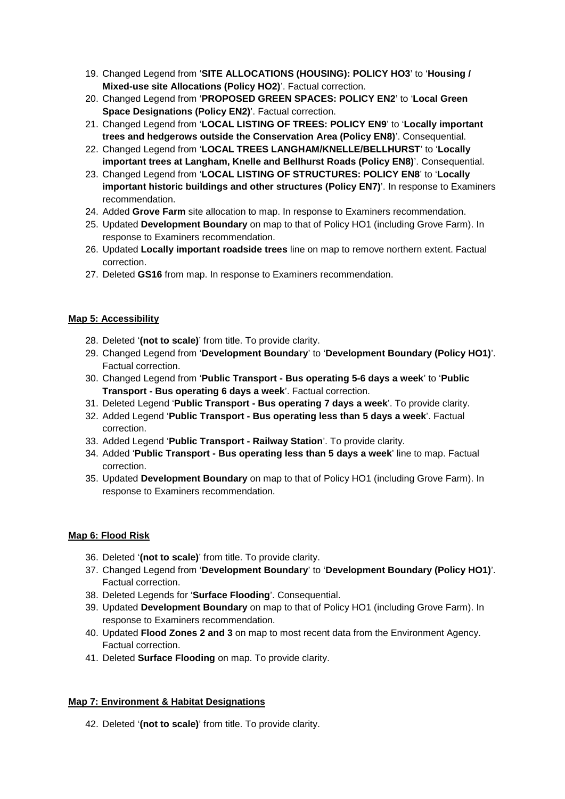- 19. Changed Legend from '**SITE ALLOCATIONS (HOUSING): POLICY HO3**' to '**Housing / Mixed-use site Allocations (Policy HO2)**'. Factual correction.
- 20. Changed Legend from '**PROPOSED GREEN SPACES: POLICY EN2**' to '**Local Green Space Designations (Policy EN2)**'. Factual correction.
- 21. Changed Legend from '**LOCAL LISTING OF TREES: POLICY EN9**' to '**Locally important trees and hedgerows outside the Conservation Area (Policy EN8)**'. Consequential.
- 22. Changed Legend from '**LOCAL TREES LANGHAM/KNELLE/BELLHURST**' to '**Locally important trees at Langham, Knelle and Bellhurst Roads (Policy EN8)**'. Consequential.
- 23. Changed Legend from '**LOCAL LISTING OF STRUCTURES: POLICY EN8**' to '**Locally important historic buildings and other structures (Policy EN7)**'. In response to Examiners recommendation.
- 24. Added **Grove Farm** site allocation to map. In response to Examiners recommendation.
- 25. Updated **Development Boundary** on map to that of Policy HO1 (including Grove Farm). In response to Examiners recommendation.
- 26. Updated **Locally important roadside trees** line on map to remove northern extent. Factual correction.
- 27. Deleted **GS16** from map. In response to Examiners recommendation.

### **Map 5: Accessibility**

- 28. Deleted '**(not to scale)**' from title. To provide clarity.
- 29. Changed Legend from '**Development Boundary**' to '**Development Boundary (Policy HO1)**'. Factual correction.
- 30. Changed Legend from '**Public Transport - Bus operating 5-6 days a week**' to '**Public Transport - Bus operating 6 days a week**'. Factual correction.
- 31. Deleted Legend '**Public Transport - Bus operating 7 days a week**'. To provide clarity.
- 32. Added Legend '**Public Transport - Bus operating less than 5 days a week**'. Factual correction.
- 33. Added Legend '**Public Transport - Railway Station**'. To provide clarity.
- 34. Added '**Public Transport - Bus operating less than 5 days a week**' line to map. Factual correction.
- 35. Updated **Development Boundary** on map to that of Policy HO1 (including Grove Farm). In response to Examiners recommendation.

# **Map 6: Flood Risk**

- 36. Deleted '**(not to scale)**' from title. To provide clarity.
- 37. Changed Legend from '**Development Boundary**' to '**Development Boundary (Policy HO1)**'. Factual correction.
- 38. Deleted Legends for '**Surface Flooding**'. Consequential.
- 39. Updated **Development Boundary** on map to that of Policy HO1 (including Grove Farm). In response to Examiners recommendation.
- 40. Updated **Flood Zones 2 and 3** on map to most recent data from the Environment Agency. Factual correction.
- 41. Deleted **Surface Flooding** on map. To provide clarity.

# **Map 7: Environment & Habitat Designations**

42. Deleted '**(not to scale)**' from title. To provide clarity.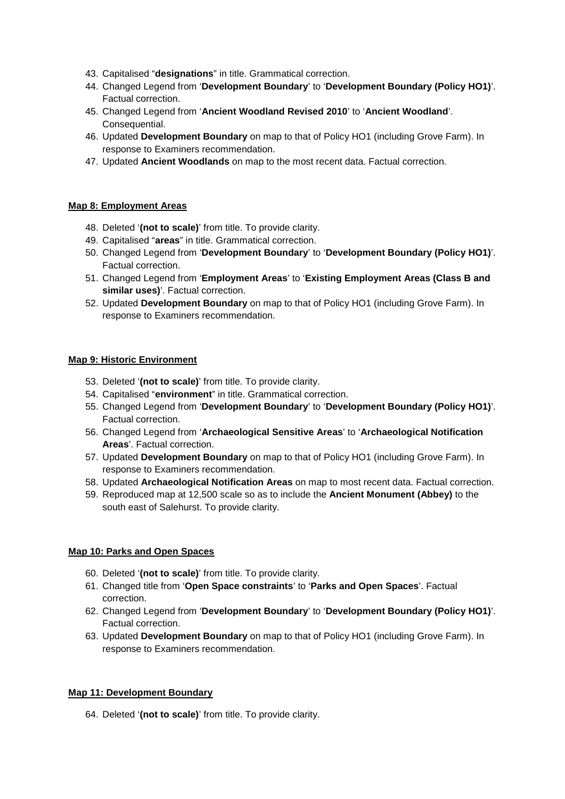- 43. Capitalised "**designations**" in title. Grammatical correction.
- 44. Changed Legend from '**Development Boundary**' to '**Development Boundary (Policy HO1)**'. Factual correction.
- 45. Changed Legend from '**Ancient Woodland Revised 2010**' to '**Ancient Woodland**'. Consequential.
- 46. Updated **Development Boundary** on map to that of Policy HO1 (including Grove Farm). In response to Examiners recommendation.
- 47. Updated **Ancient Woodlands** on map to the most recent data. Factual correction.

### **Map 8: Employment Areas**

- 48. Deleted '**(not to scale)**' from title. To provide clarity.
- 49. Capitalised "**areas**" in title. Grammatical correction.
- 50. Changed Legend from '**Development Boundary**' to '**Development Boundary (Policy HO1)**'. Factual correction.
- 51. Changed Legend from '**Employment Areas**' to '**Existing Employment Areas (Class B and similar uses)**'. Factual correction.
- 52. Updated **Development Boundary** on map to that of Policy HO1 (including Grove Farm). In response to Examiners recommendation.

### **Map 9: Historic Environment**

- 53. Deleted '**(not to scale)**' from title. To provide clarity.
- 54. Capitalised "**environment**" in title. Grammatical correction.
- 55. Changed Legend from '**Development Boundary**' to '**Development Boundary (Policy HO1)**'. Factual correction.
- 56. Changed Legend from '**Archaeological Sensitive Areas**' to '**Archaeological Notification Areas**'. Factual correction.
- 57. Updated **Development Boundary** on map to that of Policy HO1 (including Grove Farm). In response to Examiners recommendation.
- 58. Updated **Archaeological Notification Areas** on map to most recent data. Factual correction.
- 59. Reproduced map at 12,500 scale so as to include the **Ancient Monument (Abbey)** to the south east of Salehurst. To provide clarity.

### **Map 10: Parks and Open Spaces**

- 60. Deleted '**(not to scale)**' from title. To provide clarity.
- 61. Changed title from '**Open Space constraints**' to '**Parks and Open Spaces**'. Factual correction.
- 62. Changed Legend from '**Development Boundary**' to '**Development Boundary (Policy HO1)**'. Factual correction.
- 63. Updated **Development Boundary** on map to that of Policy HO1 (including Grove Farm). In response to Examiners recommendation.

### **Map 11: Development Boundary**

64. Deleted '**(not to scale)**' from title. To provide clarity.